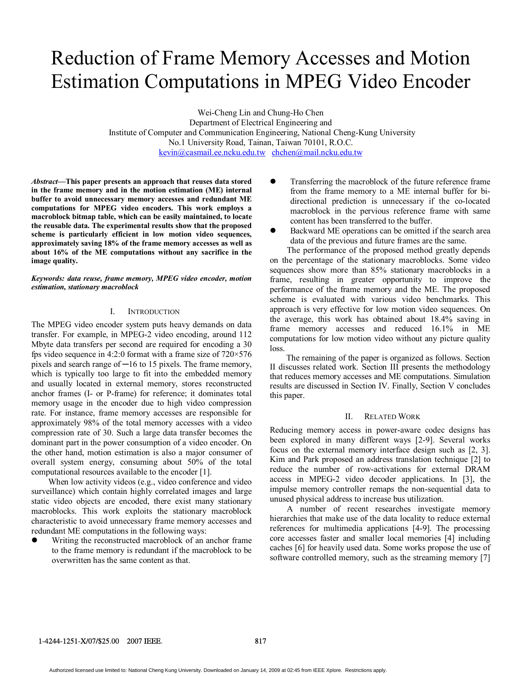# Reduction of Frame Memory Accesses and Motion Estimation Computations in MPEG Video Encoder

Wei-Cheng Lin and Chung-Ho Chen Department of Electrical Engineering and Institute of Computer and Communication Engineering, National Cheng-Kung University No.1 University Road, Tainan, Taiwan 70101, R.O.C. kevin@casmail.ee.ncku.edu.tw chchen@mail.ncku.edu.tw

*Abstract***—This paper presents an approach that reuses data stored in the frame memory and in the motion estimation (ME) internal buffer to avoid unnecessary memory accesses and redundant ME computations for MPEG video encoders. This work employs a macroblock bitmap table, which can be easily maintained, to locate the reusable data. The experimental results show that the proposed scheme is particularly efficient in low motion video sequences, approximately saving 18% of the frame memory accesses as well as about 16% of the ME computations without any sacrifice in the image quality.** 

*Keywords: data reuse, frame memory, MPEG video encoder, motion estimation, stationary macroblock* 

### I. INTRODUCTION

The MPEG video encoder system puts heavy demands on data transfer. For example, in MPEG-2 video encoding, around 112 Mbyte data transfers per second are required for encoding a 30 fps video sequence in 4:2:0 format with a frame size of 720×576 pixels and search range of ─16 to 15 pixels. The frame memory, which is typically too large to fit into the embedded memory and usually located in external memory, stores reconstructed anchor frames (I- or P-frame) for reference; it dominates total memory usage in the encoder due to high video compression rate. For instance, frame memory accesses are responsible for approximately 98% of the total memory accesses with a video compression rate of 30. Such a large data transfer becomes the dominant part in the power consumption of a video encoder. On the other hand, motion estimation is also a major consumer of overall system energy, consuming about 50% of the total computational resources available to the encoder [1].

When low activity videos (e.g., video conference and video surveillance) which contain highly correlated images and large static video objects are encoded, there exist many stationary macroblocks. This work exploits the stationary macroblock characteristic to avoid unnecessary frame memory accesses and redundant ME computations in the following ways:

Writing the reconstructed macroblock of an anchor frame to the frame memory is redundant if the macroblock to be overwritten has the same content as that.

- Transferring the macroblock of the future reference frame from the frame memory to a ME internal buffer for bidirectional prediction is unnecessary if the co-located macroblock in the pervious reference frame with same content has been transferred to the buffer.
- Backward ME operations can be omitted if the search area data of the previous and future frames are the same.

The performance of the proposed method greatly depends on the percentage of the stationary macroblocks. Some video sequences show more than 85% stationary macroblocks in a frame, resulting in greater opportunity to improve the performance of the frame memory and the ME. The proposed scheme is evaluated with various video benchmarks. This approach is very effective for low motion video sequences. On the average, this work has obtained about 18.4% saving in frame memory accesses and reduced 16.1% in ME computations for low motion video without any picture quality loss.

The remaining of the paper is organized as follows. Section II discusses related work. Section III presents the methodology that reduces memory accesses and ME computations. Simulation results are discussed in Section IV. Finally, Section V concludes this paper.

#### II. RELATED WORK

Reducing memory access in power-aware codec designs has been explored in many different ways [2-9]. Several works focus on the external memory interface design such as [2, 3]. Kim and Park proposed an address translation technique [2] to reduce the number of row-activations for external DRAM access in MPEG-2 video decoder applications. In [3], the impulse memory controller remaps the non-sequential data to unused physical address to increase bus utilization.

A number of recent researches investigate memory hierarchies that make use of the data locality to reduce external references for multimedia applications [4-9]. The processing core accesses faster and smaller local memories [4] including caches [6] for heavily used data. Some works propose the use of software controlled memory, such as the streaming memory [7]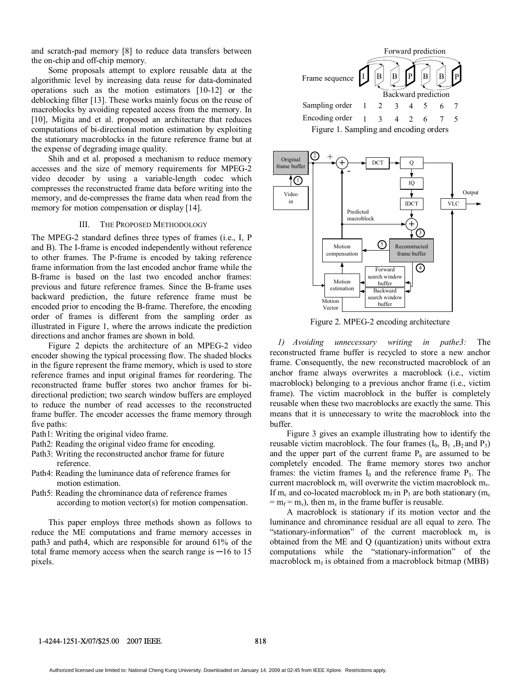and scratch-pad memory [8] to reduce data transfers between the on-chip and off-chip memory.

Some proposals attempt to explore reusable data at the algorithmic level by increasing data reuse for data-dominated operations such as the motion estimators [10-12] or the deblocking filter [13]. These works mainly focus on the reuse of macroblocks by avoiding repeated access from the memory. In [10], Migita and et al. proposed an architecture that reduces computations of bi-directional motion estimation by exploiting the stationary macroblocks in the future reference frame but at the expense of degrading image quality.

Shih and et al. proposed a mechanism to reduce memory accesses and the size of memory requirements for MPEG-2 video decoder by using a variable-length codec which compresses the reconstructed frame data before writing into the memory, and de-compresses the frame data when read from the memory for motion compensation or display [14].

#### III. THE PROPOSED METHODOLOGY

The MPEG-2 standard defines three types of frames (i.e., I, P and B). The I-frame is encoded independently without reference to other frames. The P-frame is encoded by taking reference frame information from the last encoded anchor frame while the B-frame is based on the last two encoded anchor frames: previous and future reference frames. Since the B-frame uses backward prediction, the future reference frame must be encoded prior to encoding the B-frame. Therefore, the encoding order of frames is different from the sampling order as illustrated in Figure 1, where the arrows indicate the prediction directions and anchor frames are shown in bold.

Figure 2 depicts the architecture of an MPEG-2 video encoder showing the typical processing flow. The shaded blocks in the figure represent the frame memory, which is used to store reference frames and input original frames for reordering. The reconstructed frame buffer stores two anchor frames for bidirectional prediction; two search window buffers are employed to reduce the number of read accesses to the reconstructed frame buffer. The encoder accesses the frame memory through five paths:

- Path1: Writing the original video frame.
- Path2: Reading the original video frame for encoding.
- Path3: Writing the reconstructed anchor frame for future reference.
- Path4: Reading the luminance data of reference frames for motion estimation.
- Path5: Reading the chrominance data of reference frames according to motion vector(s) for motion compensation.

This paper employs three methods shown as follows to reduce the ME computations and frame memory accesses in path3 and path4, which are responsible for around 61% of the total frame memory access when the search range is  $-16$  to 15 pixels.





Figure 2. MPEG-2 encoding architecture

*1) Avoiding unnecessary writing in pathe3:* The reconstructed frame buffer is recycled to store a new anchor frame. Consequently, the new reconstructed macroblock of an anchor frame always overwrites a macroblock (i.e., victim macroblock) belonging to a previous anchor frame (i.e., victim frame). The victim macroblock in the buffer is completely reusable when these two macroblocks are exactly the same. This means that it is unnecessary to write the macroblock into the buffer.

Figure 3 gives an example illustrating how to identify the reusable victim macroblock. The four frames  $(I_0, B_1, B_2, I_3)$ and the upper part of the current frame  $P_6$  are assumed to be completely encoded. The frame memory stores two anchor frames: the victim frames  $I_0$  and the reference frame  $P_3$ . The current macroblock  $m_c$  will overwrite the victim macroblock  $m_v$ . If m<sub>c</sub> and co-located macroblock m<sub>f</sub> in P<sub>3</sub> are both stationary (m<sub>c</sub>  $=$  m<sub>f</sub> = m<sub>v</sub>), then m<sub>v</sub> in the frame buffer is reusable.

A macroblock is stationary if its motion vector and the luminance and chrominance residual are all equal to zero. The "stationary-information" of the current macroblock  $m_c$  is obtained from the ME and Q (quantization) units without extra computations while the "stationary-information" of the macroblock  $m_f$  is obtained from a macroblock bitmap (MBB)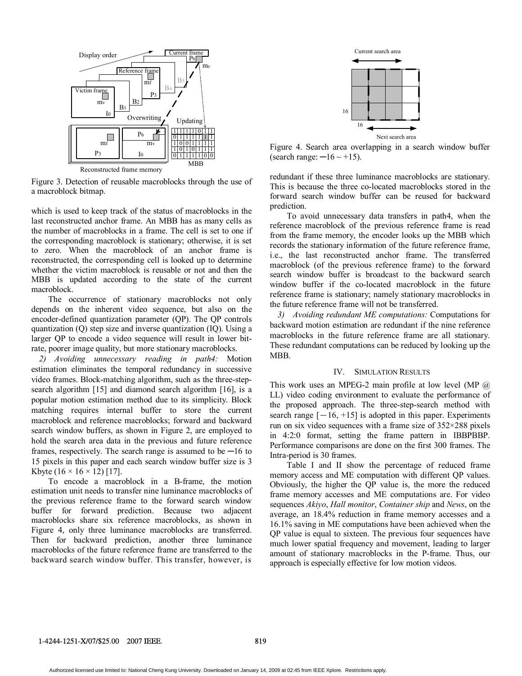

Figure 3. Detection of reusable macroblocks through the use of a macroblock bitmap.

which is used to keep track of the status of macroblocks in the last reconstructed anchor frame. An MBB has as many cells as the number of macroblocks in a frame. The cell is set to one if the corresponding macroblock is stationary; otherwise, it is set to zero. When the macroblock of an anchor frame is reconstructed, the corresponding cell is looked up to determine whether the victim macroblock is reusable or not and then the MBB is updated according to the state of the current macroblock.

The occurrence of stationary macroblocks not only depends on the inherent video sequence, but also on the encoder-defined quantization parameter (QP). The QP controls quantization (Q) step size and inverse quantization (IQ). Using a larger QP to encode a video sequence will result in lower bitrate, poorer image quality, but more stationary macroblocks.

*2) Avoiding unnecessary reading in path4:* Motion estimation eliminates the temporal redundancy in successive video frames. Block-matching algorithm, such as the three-stepsearch algorithm [15] and diamond search algorithm [16], is a popular motion estimation method due to its simplicity. Block matching requires internal buffer to store the current macroblock and reference macroblocks; forward and backward search window buffers, as shown in Figure 2, are employed to hold the search area data in the previous and future reference frames, respectively. The search range is assumed to be  $-16$  to 15 pixels in this paper and each search window buffer size is 3 Kbyte  $(16 \times 16 \times 12)$  [17].

To encode a macroblock in a B-frame, the motion estimation unit needs to transfer nine luminance macroblocks of the previous reference frame to the forward search window buffer for forward prediction. Because two adjacent macroblocks share six reference macroblocks, as shown in Figure 4, only three luminance macroblocks are transferred. Then for backward prediction, another three luminance macroblocks of the future reference frame are transferred to the backward search window buffer. This transfer, however, is



Figure 4. Search area overlapping in a search window buffer (search range:  $-16 \sim +15$ ).

redundant if these three luminance macroblocks are stationary. This is because the three co-located macroblocks stored in the forward search window buffer can be reused for backward prediction.

To avoid unnecessary data transfers in path4, when the reference macroblock of the previous reference frame is read from the frame memory, the encoder looks up the MBB which records the stationary information of the future reference frame, i.e., the last reconstructed anchor frame. The transferred macroblock (of the previous reference frame) to the forward search window buffer is broadcast to the backward search window buffer if the co-located macroblock in the future reference frame is stationary; namely stationary macroblocks in the future reference frame will not be transferred.

*3) Avoiding redundant ME computations:* Computations for backward motion estimation are redundant if the nine reference macroblocks in the future reference frame are all stationary. These redundant computations can be reduced by looking up the MBB.

### IV. SIMULATION RESULTS

This work uses an MPEG-2 main profile at low level (MP  $@$ ) LL) video coding environment to evaluate the performance of the proposed approach. The three-step-search method with search range  $[-16, +15]$  is adopted in this paper. Experiments run on six video sequences with a frame size of 352×288 pixels in 4:2:0 format, setting the frame pattern in IBBPBBP. Performance comparisons are done on the first 300 frames. The Intra-period is 30 frames.

Table I and II show the percentage of reduced frame memory access and ME computation with different QP values. Obviously, the higher the QP value is, the more the reduced frame memory accesses and ME computations are. For video sequences *Akiyo*, *Hall monitor*, *Container ship* and *News*, on the average, an 18.4% reduction in frame memory accesses and a 16.1% saving in ME computations have been achieved when the QP value is equal to sixteen. The previous four sequences have much lower spatial frequency and movement, leading to larger amount of stationary macroblocks in the P-frame. Thus, our approach is especially effective for low motion videos.